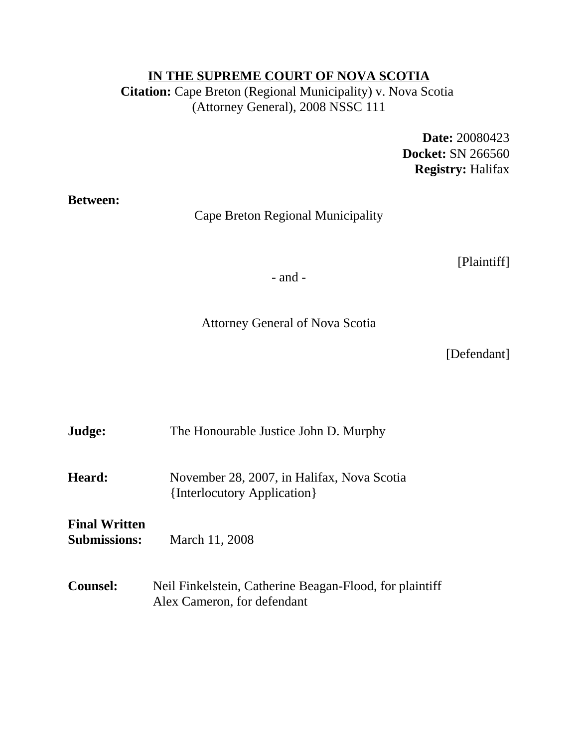#### **IN THE SUPREME COURT OF NOVA SCOTIA**

**Citation:** Cape Breton (Regional Municipality) v. Nova Scotia (Attorney General), 2008 NSSC 111

> **Date:** 20080423 **Docket:** SN 266560 **Registry:** Halifax

**Between:**

Cape Breton Regional Municipality

[Plaintiff]

- and -

Attorney General of Nova Scotia

[Defendant]

| Judge:                                      | The Honourable Justice John D. Murphy                                                  |
|---------------------------------------------|----------------------------------------------------------------------------------------|
| Heard:                                      | November 28, 2007, in Halifax, Nova Scotia<br>{Interlocutory Application}              |
| <b>Final Written</b><br><b>Submissions:</b> | March 11, 2008                                                                         |
| <b>Counsel:</b>                             | Neil Finkelstein, Catherine Beagan-Flood, for plaintiff<br>Alex Cameron, for defendant |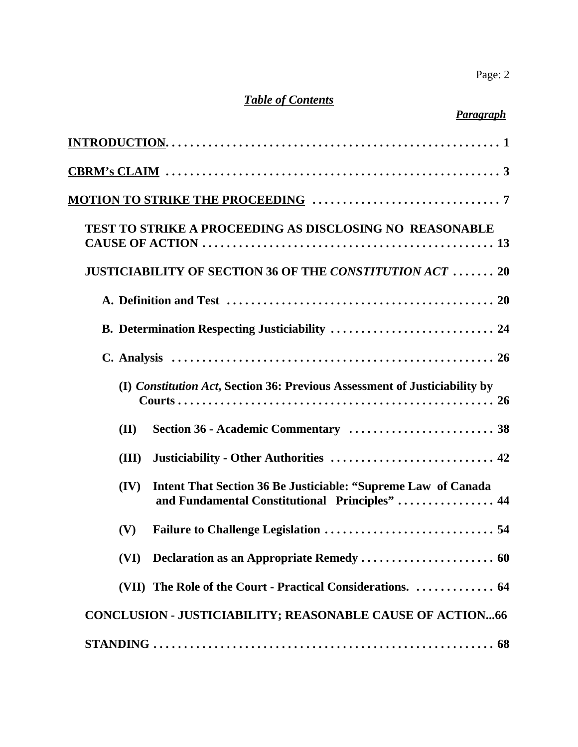# *Table of Contents*

| Paragraph                                                                                                               |
|-------------------------------------------------------------------------------------------------------------------------|
|                                                                                                                         |
|                                                                                                                         |
|                                                                                                                         |
| <b>TEST TO STRIKE A PROCEEDING AS DISCLOSING NO REASONABLE</b>                                                          |
| <b>JUSTICIABILITY OF SECTION 36 OF THE CONSTITUTION ACT 20</b>                                                          |
|                                                                                                                         |
| B. Determination Respecting Justiciability  24                                                                          |
|                                                                                                                         |
| (I) Constitution Act, Section 36: Previous Assessment of Justiciability by                                              |
| (II)                                                                                                                    |
| Justiciability - Other Authorities  42<br>(III)                                                                         |
| Intent That Section 36 Be Justiciable: "Supreme Law of Canada<br>(IV)<br>and Fundamental Constitutional Principles"  44 |
| (V) Failure to Challenge Legislation<br>54                                                                              |
| (VI)                                                                                                                    |
| (VII) The Role of the Court - Practical Considerations.  64                                                             |
| <b>CONCLUSION - JUSTICIABILITY; REASONABLE CAUSE OF ACTION66</b>                                                        |
|                                                                                                                         |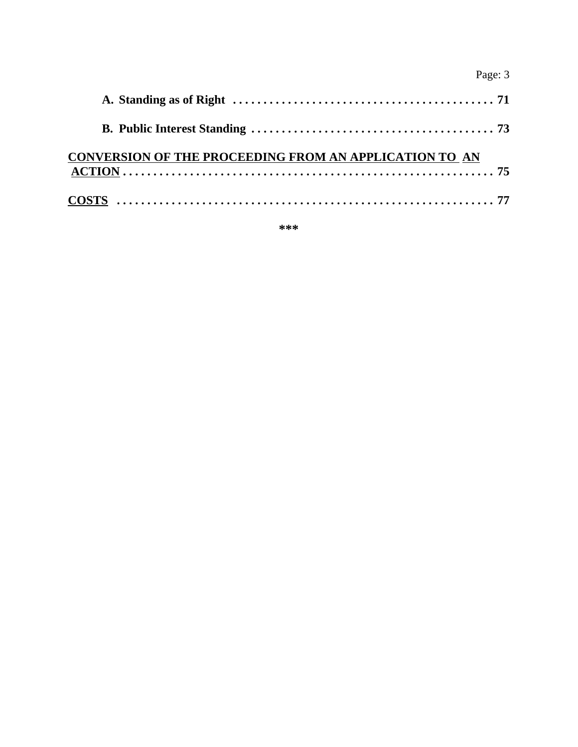| г<br>'ao<br>e<br>г |  |
|--------------------|--|
|--------------------|--|

| CONVERSION OF THE PROCEEDING FROM AN APPLICATION TO AN |  |
|--------------------------------------------------------|--|
| $COSTS \dots 0.177$                                    |  |

**\*\*\***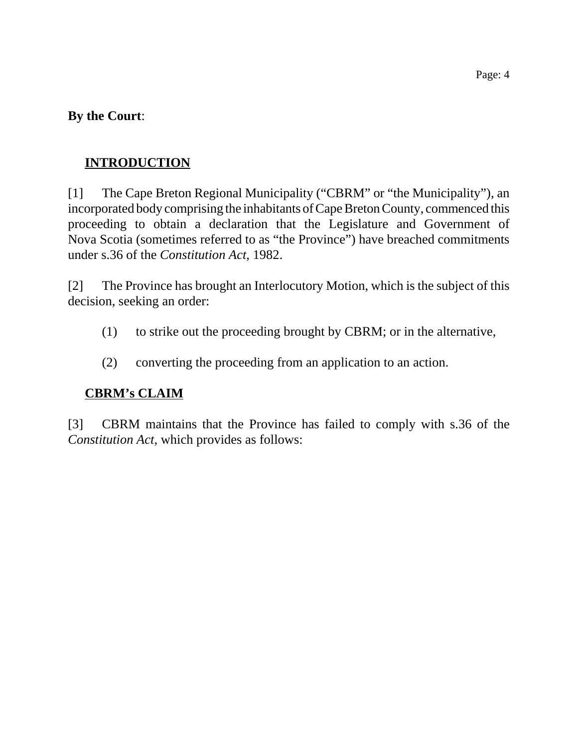#### **By the Court**:

## **INTRODUCTION**

[1] The Cape Breton Regional Municipality ("CBRM" or "the Municipality"), an incorporated body comprising the inhabitants of Cape Breton County, commenced this proceeding to obtain a declaration that the Legislature and Government of Nova Scotia (sometimes referred to as "the Province") have breached commitments under s.36 of the *Constitution Act*, 1982.

[2] The Province has brought an Interlocutory Motion, which is the subject of this decision, seeking an order:

- (1) to strike out the proceeding brought by CBRM; or in the alternative,
- (2) converting the proceeding from an application to an action.

## **CBRM's CLAIM**

[3] CBRM maintains that the Province has failed to comply with s.36 of the *Constitution Act*, which provides as follows: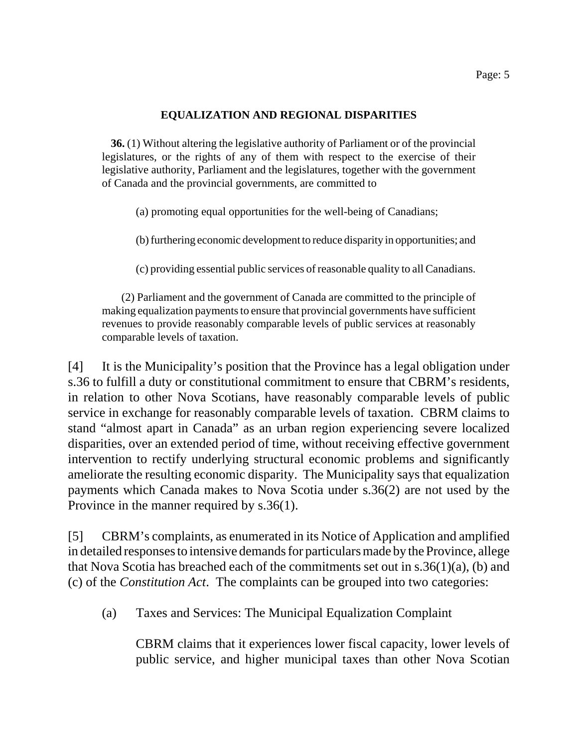#### **EQUALIZATION AND REGIONAL DISPARITIES**

 **36.** (1) Without altering the legislative authority of Parliament or of the provincial legislatures, or the rights of any of them with respect to the exercise of their legislative authority, Parliament and the legislatures, together with the government of Canada and the provincial governments, are committed to

(a) promoting equal opportunities for the well-being of Canadians;

(b) furthering economic development to reduce disparity in opportunities; and

(c) providing essential public services of reasonable quality to all Canadians.

 (2) Parliament and the government of Canada are committed to the principle of making equalization payments to ensure that provincial governments have sufficient revenues to provide reasonably comparable levels of public services at reasonably comparable levels of taxation.

[4] It is the Municipality's position that the Province has a legal obligation under s.36 to fulfill a duty or constitutional commitment to ensure that CBRM's residents, in relation to other Nova Scotians, have reasonably comparable levels of public service in exchange for reasonably comparable levels of taxation. CBRM claims to stand "almost apart in Canada" as an urban region experiencing severe localized disparities, over an extended period of time, without receiving effective government intervention to rectify underlying structural economic problems and significantly ameliorate the resulting economic disparity. The Municipality says that equalization payments which Canada makes to Nova Scotia under s.36(2) are not used by the Province in the manner required by s.36(1).

[5] CBRM's complaints, as enumerated in its Notice of Application and amplified in detailed responses to intensive demands for particulars made by the Province, allege that Nova Scotia has breached each of the commitments set out in s.36(1)(a), (b) and (c) of the *Constitution Act*. The complaints can be grouped into two categories:

(a) Taxes and Services: The Municipal Equalization Complaint

CBRM claims that it experiences lower fiscal capacity, lower levels of public service, and higher municipal taxes than other Nova Scotian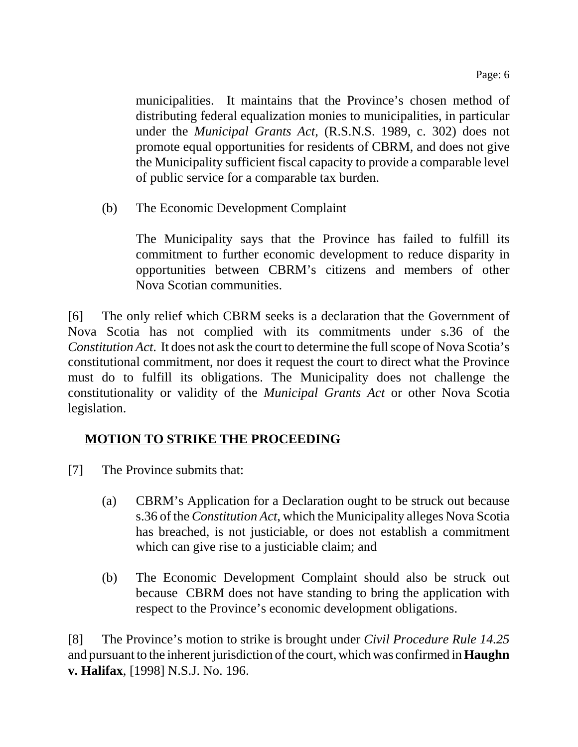municipalities. It maintains that the Province's chosen method of distributing federal equalization monies to municipalities, in particular under the *Municipal Grants Act*, (R.S.N.S. 1989, c. 302) does not promote equal opportunities for residents of CBRM, and does not give the Municipality sufficient fiscal capacity to provide a comparable level of public service for a comparable tax burden.

(b) The Economic Development Complaint

The Municipality says that the Province has failed to fulfill its commitment to further economic development to reduce disparity in opportunities between CBRM's citizens and members of other Nova Scotian communities.

[6] The only relief which CBRM seeks is a declaration that the Government of Nova Scotia has not complied with its commitments under s.36 of the *Constitution Act*. It does not ask the court to determine the full scope of Nova Scotia's constitutional commitment, nor does it request the court to direct what the Province must do to fulfill its obligations. The Municipality does not challenge the constitutionality or validity of the *Municipal Grants Act* or other Nova Scotia legislation.

# **MOTION TO STRIKE THE PROCEEDING**

- [7] The Province submits that:
	- (a) CBRM's Application for a Declaration ought to be struck out because s.36 of the *Constitution Act*, which the Municipality alleges Nova Scotia has breached, is not justiciable, or does not establish a commitment which can give rise to a justiciable claim; and
	- (b) The Economic Development Complaint should also be struck out because CBRM does not have standing to bring the application with respect to the Province's economic development obligations.

[8] The Province's motion to strike is brought under *Civil Procedure Rule 14.25* and pursuant to the inherent jurisdiction of the court, which was confirmed in **Haughn v. Halifax**, [1998] N.S.J. No. 196.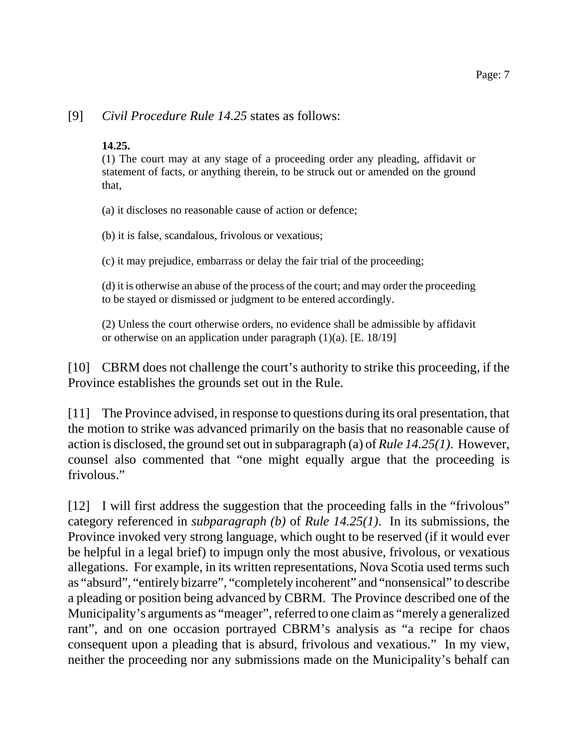#### [9] *Civil Procedure Rule 14.25* states as follows:

#### **14.25.**

(1) The court may at any stage of a proceeding order any pleading, affidavit or statement of facts, or anything therein, to be struck out or amended on the ground that,

(a) it discloses no reasonable cause of action or defence;

(b) it is false, scandalous, frivolous or vexatious;

(c) it may prejudice, embarrass or delay the fair trial of the proceeding;

(d) it is otherwise an abuse of the process of the court; and may order the proceeding to be stayed or dismissed or judgment to be entered accordingly.

(2) Unless the court otherwise orders, no evidence shall be admissible by affidavit or otherwise on an application under paragraph (1)(a). [E. 18/19]

[10] CBRM does not challenge the court's authority to strike this proceeding, if the Province establishes the grounds set out in the Rule.

[11] The Province advised, in response to questions during its oral presentation, that the motion to strike was advanced primarily on the basis that no reasonable cause of action is disclosed, the ground set out in subparagraph (a) of *Rule 14.25(1)*. However, counsel also commented that "one might equally argue that the proceeding is frivolous."

[12] I will first address the suggestion that the proceeding falls in the "frivolous" category referenced in *subparagraph (b)* of *Rule 14.25(1)*. In its submissions, the Province invoked very strong language, which ought to be reserved (if it would ever be helpful in a legal brief) to impugn only the most abusive, frivolous, or vexatious allegations. For example, in its written representations, Nova Scotia used terms such as "absurd", "entirely bizarre", "completely incoherent" and "nonsensical" to describe a pleading or position being advanced by CBRM. The Province described one of the Municipality's arguments as "meager", referred to one claim as "merely a generalized rant", and on one occasion portrayed CBRM's analysis as "a recipe for chaos consequent upon a pleading that is absurd, frivolous and vexatious." In my view, neither the proceeding nor any submissions made on the Municipality's behalf can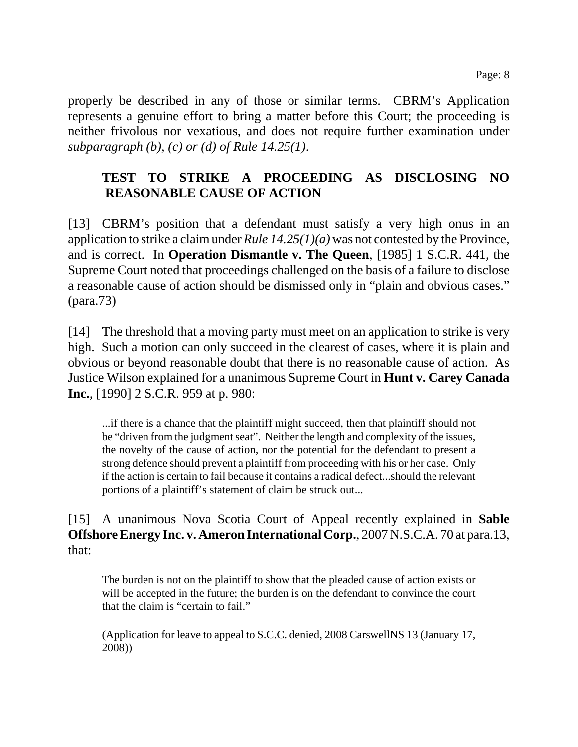properly be described in any of those or similar terms. CBRM's Application represents a genuine effort to bring a matter before this Court; the proceeding is neither frivolous nor vexatious, and does not require further examination under *subparagraph (b), (c) or (d) of Rule 14.25(1)*.

## **TEST TO STRIKE A PROCEEDING AS DISCLOSING NO REASONABLE CAUSE OF ACTION**

[13] CBRM's position that a defendant must satisfy a very high onus in an application to strike a claim under *Rule 14.25(1)(a)* was not contested by the Province, and is correct. In **Operation Dismantle v. The Queen**, [1985] 1 S.C.R. 441, the Supreme Court noted that proceedings challenged on the basis of a failure to disclose a reasonable cause of action should be dismissed only in "plain and obvious cases." (para.73)

[14] The threshold that a moving party must meet on an application to strike is very high. Such a motion can only succeed in the clearest of cases, where it is plain and obvious or beyond reasonable doubt that there is no reasonable cause of action. As Justice Wilson explained for a unanimous Supreme Court in **Hunt v. Carey Canada Inc.**, [1990] 2 S.C.R. 959 at p. 980:

...if there is a chance that the plaintiff might succeed, then that plaintiff should not be "driven from the judgment seat". Neither the length and complexity of the issues, the novelty of the cause of action, nor the potential for the defendant to present a strong defence should prevent a plaintiff from proceeding with his or her case. Only if the action is certain to fail because it contains a radical defect...should the relevant portions of a plaintiff's statement of claim be struck out...

#### [15] A unanimous Nova Scotia Court of Appeal recently explained in **Sable Offshore Energy Inc. v. Ameron International Corp.**, 2007 N.S.C.A. 70 at para.13, that:

The burden is not on the plaintiff to show that the pleaded cause of action exists or will be accepted in the future; the burden is on the defendant to convince the court that the claim is "certain to fail."

(Application for leave to appeal to S.C.C. denied, 2008 CarswellNS 13 (January 17, 2008))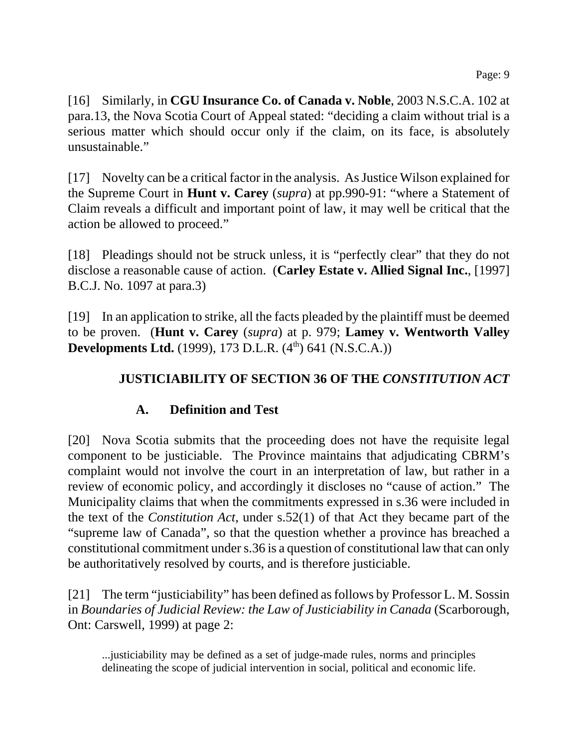[16] Similarly, in **CGU Insurance Co. of Canada v. Noble**, 2003 N.S.C.A. 102 at para.13, the Nova Scotia Court of Appeal stated: "deciding a claim without trial is a serious matter which should occur only if the claim, on its face, is absolutely unsustainable."

[17] Novelty can be a critical factor in the analysis. As Justice Wilson explained for the Supreme Court in **Hunt v. Carey** (*supra*) at pp.990-91: "where a Statement of Claim reveals a difficult and important point of law, it may well be critical that the action be allowed to proceed."

[18] Pleadings should not be struck unless, it is "perfectly clear" that they do not disclose a reasonable cause of action. (**Carley Estate v. Allied Signal Inc.**, [1997] B.C.J. No. 1097 at para.3)

[19] In an application to strike, all the facts pleaded by the plaintiff must be deemed to be proven. (**Hunt v. Carey** (*supra*) at p. 979; **Lamey v. Wentworth Valley Developments Ltd.** (1999), 173 D.L.R. (4<sup>th</sup>) 641 (N.S.C.A.))

## **JUSTICIABILITY OF SECTION 36 OF THE** *CONSTITUTION ACT*

## **A. Definition and Test**

[20] Nova Scotia submits that the proceeding does not have the requisite legal component to be justiciable. The Province maintains that adjudicating CBRM's complaint would not involve the court in an interpretation of law, but rather in a review of economic policy, and accordingly it discloses no "cause of action." The Municipality claims that when the commitments expressed in s.36 were included in the text of the *Constitution Act*, under s.52(1) of that Act they became part of the "supreme law of Canada", so that the question whether a province has breached a constitutional commitment under s.36 is a question of constitutional law that can only be authoritatively resolved by courts, and is therefore justiciable.

[21] The term "justiciability" has been defined as follows by Professor L. M. Sossin in *Boundaries of Judicial Review: the Law of Justiciability in Canada* (Scarborough, Ont: Carswell, 1999) at page 2:

...justiciability may be defined as a set of judge-made rules, norms and principles delineating the scope of judicial intervention in social, political and economic life.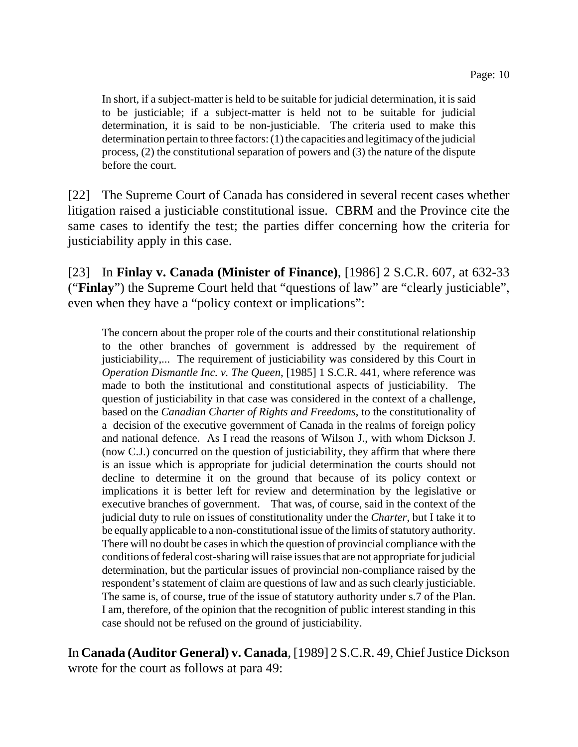In short, if a subject-matter is held to be suitable for judicial determination, it is said to be justiciable; if a subject-matter is held not to be suitable for judicial determination, it is said to be non-justiciable. The criteria used to make this determination pertain to three factors: (1) the capacities and legitimacy of the judicial process, (2) the constitutional separation of powers and (3) the nature of the dispute before the court.

[22] The Supreme Court of Canada has considered in several recent cases whether litigation raised a justiciable constitutional issue. CBRM and the Province cite the same cases to identify the test; the parties differ concerning how the criteria for justiciability apply in this case.

[23] In **Finlay v. Canada (Minister of Finance)**, [1986] 2 S.C.R. 607, at 632-33 ("**Finlay**") the Supreme Court held that "questions of law" are "clearly justiciable", even when they have a "policy context or implications":

The concern about the proper role of the courts and their constitutional relationship to the other branches of government is addressed by the requirement of justiciability,... The requirement of justiciability was considered by this Court in *Operation Dismantle Inc. v. The Queen*, [1985] 1 S.C.R. 441, where reference was made to both the institutional and constitutional aspects of justiciability. The question of justiciability in that case was considered in the context of a challenge, based on the *Canadian Charter of Rights and Freedoms*, to the constitutionality of a decision of the executive government of Canada in the realms of foreign policy and national defence. As I read the reasons of Wilson J., with whom Dickson J. (now C.J.) concurred on the question of justiciability, they affirm that where there is an issue which is appropriate for judicial determination the courts should not decline to determine it on the ground that because of its policy context or implications it is better left for review and determination by the legislative or executive branches of government. That was, of course, said in the context of the judicial duty to rule on issues of constitutionality under the *Charter*, but I take it to be equally applicable to a non-constitutional issue of the limits of statutory authority. There will no doubt be cases in which the question of provincial compliance with the conditions of federal cost-sharing will raise issues that are not appropriate for judicial determination, but the particular issues of provincial non-compliance raised by the respondent's statement of claim are questions of law and as such clearly justiciable. The same is, of course, true of the issue of statutory authority under s.7 of the Plan. I am, therefore, of the opinion that the recognition of public interest standing in this case should not be refused on the ground of justiciability.

In **Canada (Auditor General) v. Canada**, [1989] 2 S.C.R. 49, Chief Justice Dickson wrote for the court as follows at para 49: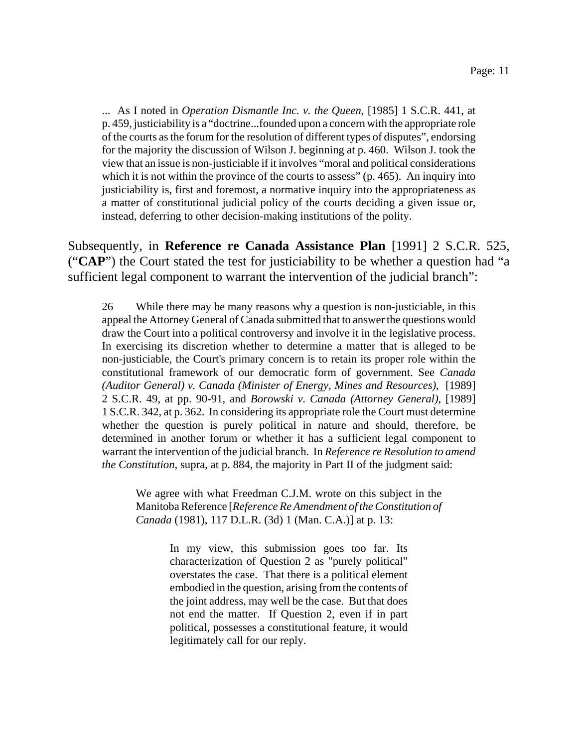... As I noted in *Operation Dismantle Inc. v. the Queen*, [1985] 1 S.C.R. 441, at p. 459, justiciability is a "doctrine...founded upon a concern with the appropriate role of the courts as the forum for the resolution of different types of disputes", endorsing for the majority the discussion of Wilson J. beginning at p. 460. Wilson J. took the view that an issue is non-justiciable if it involves "moral and political considerations which it is not within the province of the courts to assess" (p. 465). An inquiry into justiciability is, first and foremost, a normative inquiry into the appropriateness as a matter of constitutional judicial policy of the courts deciding a given issue or, instead, deferring to other decision-making institutions of the polity.

Subsequently, in **Reference re Canada Assistance Plan** [1991] 2 S.C.R. 525, ("**CAP**") the Court stated the test for justiciability to be whether a question had "a sufficient legal component to warrant the intervention of the judicial branch":

26 While there may be many reasons why a question is non-justiciable, in this appeal the Attorney General of Canada submitted that to answer the questions would draw the Court into a political controversy and involve it in the legislative process. In exercising its discretion whether to determine a matter that is alleged to be non-justiciable, the Court's primary concern is to retain its proper role within the constitutional framework of our democratic form of government. See *Canada (Auditor General) v. Canada (Minister of Energy, Mines and Resources)*, [1989] 2 S.C.R. 49, at pp. 90-91, and *Borowski v. Canada (Attorney General)*, [1989] 1 S.C.R. 342, at p. 362. In considering its appropriate role the Court must determine whether the question is purely political in nature and should, therefore, be determined in another forum or whether it has a sufficient legal component to warrant the intervention of the judicial branch. In *Reference re Resolution to amend the Constitution*, supra, at p. 884, the majority in Part II of the judgment said:

We agree with what Freedman C.J.M. wrote on this subject in the Manitoba Reference [*Reference Re Amendment of the Constitution of Canada* (1981), 117 D.L.R. (3d) 1 (Man. C.A.)] at p. 13:

> In my view, this submission goes too far. Its characterization of Question 2 as "purely political" overstates the case. That there is a political element embodied in the question, arising from the contents of the joint address, may well be the case. But that does not end the matter. If Question 2, even if in part political, possesses a constitutional feature, it would legitimately call for our reply.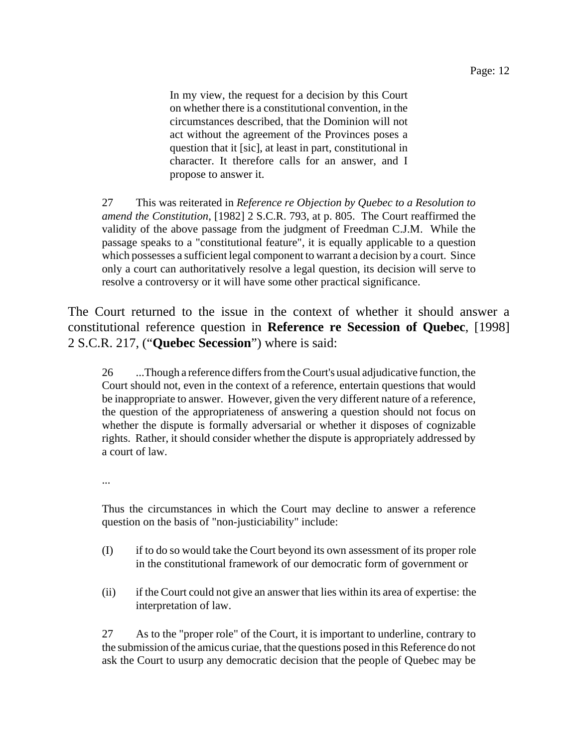In my view, the request for a decision by this Court on whether there is a constitutional convention, in the circumstances described, that the Dominion will not act without the agreement of the Provinces poses a question that it [sic], at least in part, constitutional in character. It therefore calls for an answer, and I propose to answer it.

27 This was reiterated in *Reference re Objection by Quebec to a Resolution to amend the Constitution*, [1982] 2 S.C.R. 793, at p. 805. The Court reaffirmed the validity of the above passage from the judgment of Freedman C.J.M. While the passage speaks to a "constitutional feature", it is equally applicable to a question which possesses a sufficient legal component to warrant a decision by a court. Since only a court can authoritatively resolve a legal question, its decision will serve to resolve a controversy or it will have some other practical significance.

The Court returned to the issue in the context of whether it should answer a constitutional reference question in **Reference re Secession of Quebec**, [1998] 2 S.C.R. 217, ("**Quebec Secession**") where is said:

26 ...Though a reference differs from the Court's usual adjudicative function, the Court should not, even in the context of a reference, entertain questions that would be inappropriate to answer. However, given the very different nature of a reference, the question of the appropriateness of answering a question should not focus on whether the dispute is formally adversarial or whether it disposes of cognizable rights. Rather, it should consider whether the dispute is appropriately addressed by a court of law.

...

Thus the circumstances in which the Court may decline to answer a reference question on the basis of "non-justiciability" include:

- (I) if to do so would take the Court beyond its own assessment of its proper role in the constitutional framework of our democratic form of government or
- (ii) if the Court could not give an answer that lies within its area of expertise: the interpretation of law.

27 As to the "proper role" of the Court, it is important to underline, contrary to the submission of the amicus curiae, that the questions posed in this Reference do not ask the Court to usurp any democratic decision that the people of Quebec may be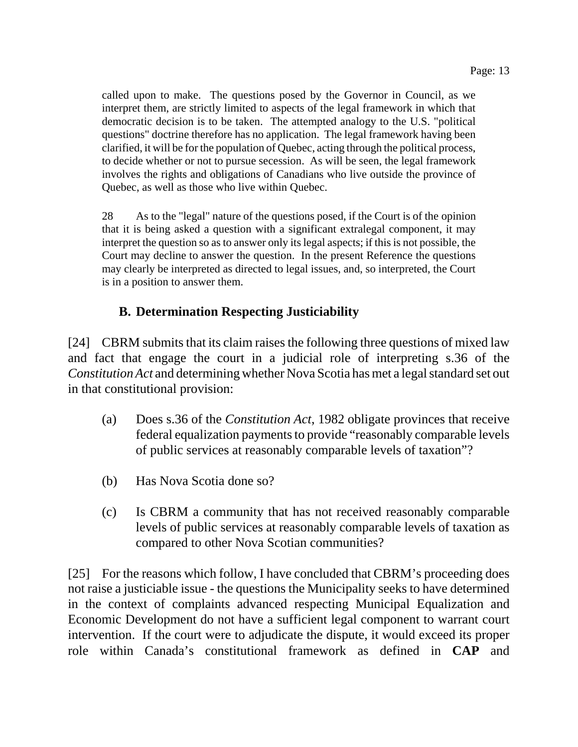called upon to make. The questions posed by the Governor in Council, as we interpret them, are strictly limited to aspects of the legal framework in which that democratic decision is to be taken. The attempted analogy to the U.S. "political questions" doctrine therefore has no application. The legal framework having been clarified, it will be for the population of Quebec, acting through the political process, to decide whether or not to pursue secession. As will be seen, the legal framework involves the rights and obligations of Canadians who live outside the province of Quebec, as well as those who live within Quebec.

28 As to the "legal" nature of the questions posed, if the Court is of the opinion that it is being asked a question with a significant extralegal component, it may interpret the question so as to answer only its legal aspects; if this is not possible, the Court may decline to answer the question. In the present Reference the questions may clearly be interpreted as directed to legal issues, and, so interpreted, the Court is in a position to answer them.

## **B. Determination Respecting Justiciability**

[24] CBRM submits that its claim raises the following three questions of mixed law and fact that engage the court in a judicial role of interpreting s.36 of the *Constitution Act* and determining whether Nova Scotia has met a legal standard set out in that constitutional provision:

- (a) Does s.36 of the *Constitution Act*, 1982 obligate provinces that receive federal equalization payments to provide "reasonably comparable levels of public services at reasonably comparable levels of taxation"?
- (b) Has Nova Scotia done so?
- (c) Is CBRM a community that has not received reasonably comparable levels of public services at reasonably comparable levels of taxation as compared to other Nova Scotian communities?

[25] For the reasons which follow, I have concluded that CBRM's proceeding does not raise a justiciable issue - the questions the Municipality seeks to have determined in the context of complaints advanced respecting Municipal Equalization and Economic Development do not have a sufficient legal component to warrant court intervention. If the court were to adjudicate the dispute, it would exceed its proper role within Canada's constitutional framework as defined in **CAP** and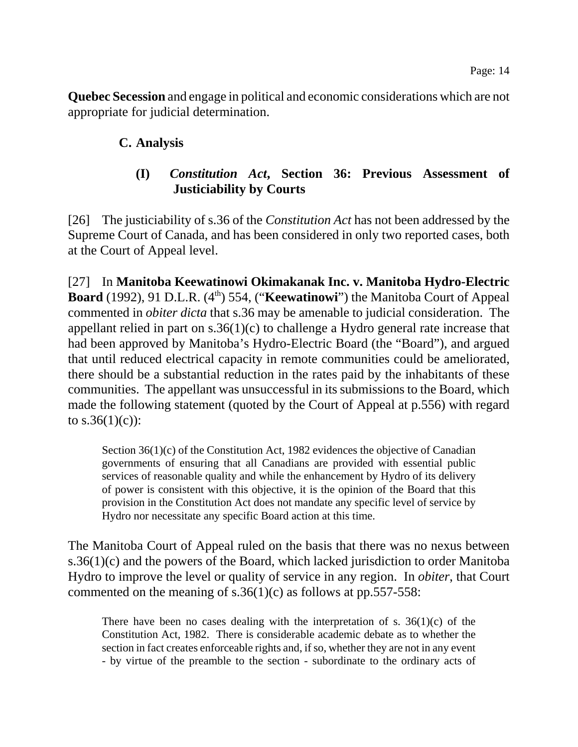**Quebec Secession** and engage in political and economic considerations which are not appropriate for judicial determination.

#### **C. Analysis**

## **(I)** *Constitution Act***, Section 36: Previous Assessment of Justiciability by Courts**

[26] The justiciability of s.36 of the *Constitution Act* has not been addressed by the Supreme Court of Canada, and has been considered in only two reported cases, both at the Court of Appeal level.

[27] In **Manitoba Keewatinowi Okimakanak Inc. v. Manitoba Hydro-Electric Board** (1992), 91 D.L.R. (4<sup>th</sup>) 554, ("**Keewatinowi**") the Manitoba Court of Appeal commented in *obiter dicta* that s.36 may be amenable to judicial consideration. The appellant relied in part on s.36(1)(c) to challenge a Hydro general rate increase that had been approved by Manitoba's Hydro-Electric Board (the "Board"), and argued that until reduced electrical capacity in remote communities could be ameliorated, there should be a substantial reduction in the rates paid by the inhabitants of these communities. The appellant was unsuccessful in its submissions to the Board, which made the following statement (quoted by the Court of Appeal at p.556) with regard to  $s.36(1)(c)$ :

Section 36(1)(c) of the Constitution Act, 1982 evidences the objective of Canadian governments of ensuring that all Canadians are provided with essential public services of reasonable quality and while the enhancement by Hydro of its delivery of power is consistent with this objective, it is the opinion of the Board that this provision in the Constitution Act does not mandate any specific level of service by Hydro nor necessitate any specific Board action at this time.

The Manitoba Court of Appeal ruled on the basis that there was no nexus between s.36(1)(c) and the powers of the Board, which lacked jurisdiction to order Manitoba Hydro to improve the level or quality of service in any region. In *obiter*, that Court commented on the meaning of s.36(1)(c) as follows at pp.557-558:

There have been no cases dealing with the interpretation of s.  $36(1)(c)$  of the Constitution Act, 1982. There is considerable academic debate as to whether the section in fact creates enforceable rights and, if so, whether they are not in any event - by virtue of the preamble to the section - subordinate to the ordinary acts of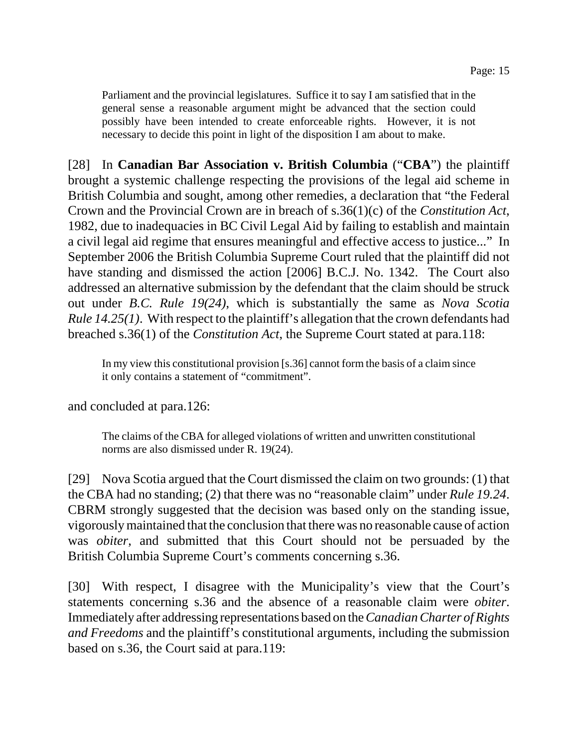Parliament and the provincial legislatures. Suffice it to say I am satisfied that in the general sense a reasonable argument might be advanced that the section could possibly have been intended to create enforceable rights. However, it is not necessary to decide this point in light of the disposition I am about to make.

[28] In **Canadian Bar Association v. British Columbia** ("**CBA**") the plaintiff brought a systemic challenge respecting the provisions of the legal aid scheme in British Columbia and sought, among other remedies, a declaration that "the Federal Crown and the Provincial Crown are in breach of s.36(1)(c) of the *Constitution Act*, 1982, due to inadequacies in BC Civil Legal Aid by failing to establish and maintain a civil legal aid regime that ensures meaningful and effective access to justice..." In September 2006 the British Columbia Supreme Court ruled that the plaintiff did not have standing and dismissed the action [2006] B.C.J. No. 1342. The Court also addressed an alternative submission by the defendant that the claim should be struck out under *B.C. Rule 19(24)*, which is substantially the same as *Nova Scotia Rule 14.25(1)*. With respect to the plaintiff's allegation that the crown defendants had breached s.36(1) of the *Constitution Act*, the Supreme Court stated at para.118:

In my view this constitutional provision [s.36] cannot form the basis of a claim since it only contains a statement of "commitment".

and concluded at para.126:

The claims of the CBA for alleged violations of written and unwritten constitutional norms are also dismissed under R. 19(24).

[29] Nova Scotia argued that the Court dismissed the claim on two grounds: (1) that the CBA had no standing; (2) that there was no "reasonable claim" under *Rule 19.24*. CBRM strongly suggested that the decision was based only on the standing issue, vigorously maintained that the conclusion that there was no reasonable cause of action was *obiter*, and submitted that this Court should not be persuaded by the British Columbia Supreme Court's comments concerning s.36.

[30] With respect, I disagree with the Municipality's view that the Court's statements concerning s.36 and the absence of a reasonable claim were *obiter*. Immediately after addressing representations based on the *Canadian Charter of Rights and Freedoms* and the plaintiff's constitutional arguments, including the submission based on s.36, the Court said at para.119: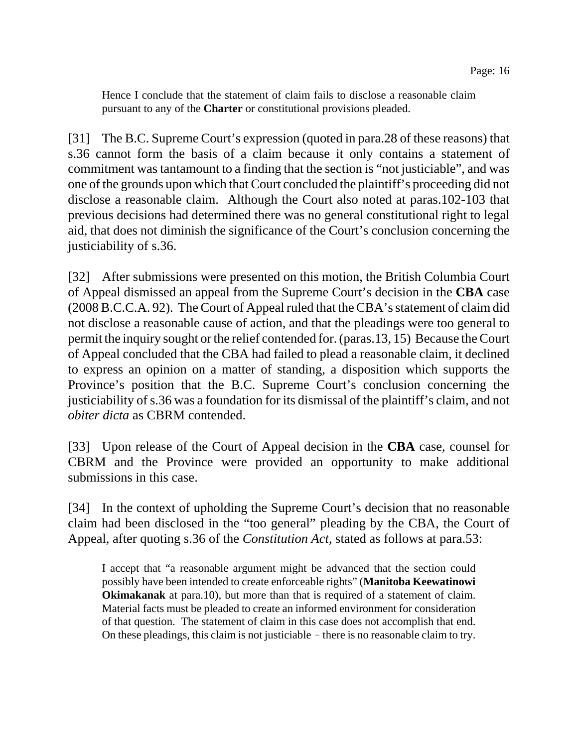Hence I conclude that the statement of claim fails to disclose a reasonable claim pursuant to any of the **Charter** or constitutional provisions pleaded.

[31] The B.C. Supreme Court's expression (quoted in para.28 of these reasons) that s.36 cannot form the basis of a claim because it only contains a statement of commitment was tantamount to a finding that the section is "not justiciable", and was one of the grounds upon which that Court concluded the plaintiff's proceeding did not disclose a reasonable claim. Although the Court also noted at paras.102-103 that previous decisions had determined there was no general constitutional right to legal aid, that does not diminish the significance of the Court's conclusion concerning the justiciability of s.36.

[32] After submissions were presented on this motion, the British Columbia Court of Appeal dismissed an appeal from the Supreme Court's decision in the **CBA** case (2008 B.C.C.A. 92). The Court of Appeal ruled that the CBA's statement of claim did not disclose a reasonable cause of action, and that the pleadings were too general to permit the inquiry sought or the relief contended for. (paras.13, 15) Because the Court of Appeal concluded that the CBA had failed to plead a reasonable claim, it declined to express an opinion on a matter of standing, a disposition which supports the Province's position that the B.C. Supreme Court's conclusion concerning the justiciability of s.36 was a foundation for its dismissal of the plaintiff's claim, and not *obiter dicta* as CBRM contended.

[33] Upon release of the Court of Appeal decision in the **CBA** case, counsel for CBRM and the Province were provided an opportunity to make additional submissions in this case.

[34] In the context of upholding the Supreme Court's decision that no reasonable claim had been disclosed in the "too general" pleading by the CBA, the Court of Appeal, after quoting s.36 of the *Constitution Act*, stated as follows at para.53:

I accept that "a reasonable argument might be advanced that the section could possibly have been intended to create enforceable rights" (**Manitoba Keewatinowi Okimakanak** at para.10), but more than that is required of a statement of claim. Material facts must be pleaded to create an informed environment for consideration of that question. The statement of claim in this case does not accomplish that end. On these pleadings, this claim is not justiciable  $-$  there is no reasonable claim to try.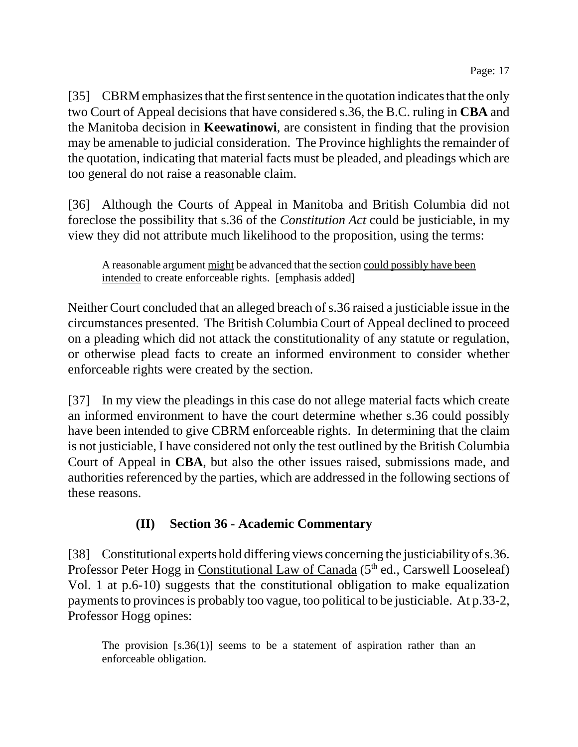[35] CBRM emphasizes that the first sentence in the quotation indicates that the only two Court of Appeal decisions that have considered s.36, the B.C. ruling in **CBA** and the Manitoba decision in **Keewatinowi**, are consistent in finding that the provision may be amenable to judicial consideration. The Province highlights the remainder of the quotation, indicating that material facts must be pleaded, and pleadings which are too general do not raise a reasonable claim.

[36] Although the Courts of Appeal in Manitoba and British Columbia did not foreclose the possibility that s.36 of the *Constitution Act* could be justiciable, in my view they did not attribute much likelihood to the proposition, using the terms:

A reasonable argument might be advanced that the section could possibly have been intended to create enforceable rights. [emphasis added]

Neither Court concluded that an alleged breach of s.36 raised a justiciable issue in the circumstances presented. The British Columbia Court of Appeal declined to proceed on a pleading which did not attack the constitutionality of any statute or regulation, or otherwise plead facts to create an informed environment to consider whether enforceable rights were created by the section.

[37] In my view the pleadings in this case do not allege material facts which create an informed environment to have the court determine whether s.36 could possibly have been intended to give CBRM enforceable rights. In determining that the claim is not justiciable, I have considered not only the test outlined by the British Columbia Court of Appeal in **CBA**, but also the other issues raised, submissions made, and authorities referenced by the parties, which are addressed in the following sections of these reasons.

# **(II) Section 36 - Academic Commentary**

[38] Constitutional experts hold differing views concerning the justiciability of s.36. Professor Peter Hogg in Constitutional Law of Canada (5<sup>th</sup> ed., Carswell Looseleaf) Vol. 1 at p.6-10) suggests that the constitutional obligation to make equalization payments to provinces is probably too vague, too political to be justiciable. At p.33-2, Professor Hogg opines:

The provision  $[s.36(1)]$  seems to be a statement of aspiration rather than an enforceable obligation.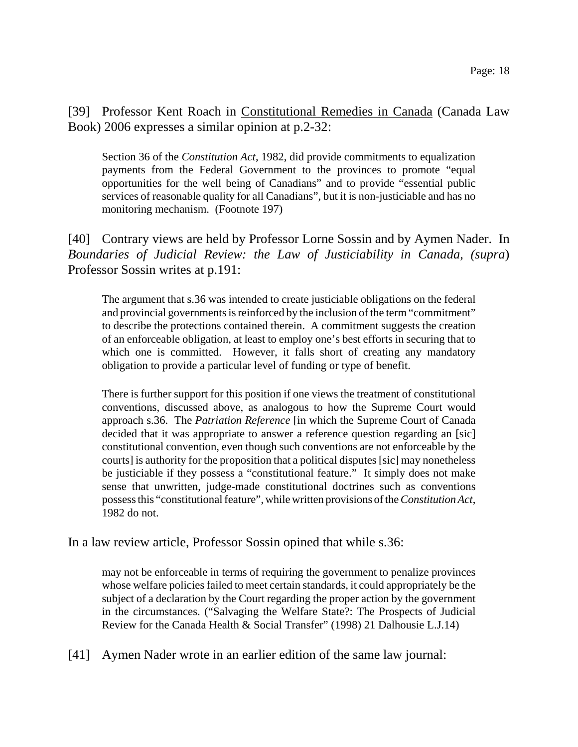[39] Professor Kent Roach in Constitutional Remedies in Canada (Canada Law Book) 2006 expresses a similar opinion at p.2-32:

Section 36 of the *Constitution Act*, 1982, did provide commitments to equalization payments from the Federal Government to the provinces to promote "equal opportunities for the well being of Canadians" and to provide "essential public services of reasonable quality for all Canadians", but it is non-justiciable and has no monitoring mechanism. (Footnote 197)

[40] Contrary views are held by Professor Lorne Sossin and by Aymen Nader. In *Boundaries of Judicial Review: the Law of Justiciability in Canada*, *(supra*) Professor Sossin writes at p.191:

The argument that s.36 was intended to create justiciable obligations on the federal and provincial governments is reinforced by the inclusion of the term "commitment" to describe the protections contained therein. A commitment suggests the creation of an enforceable obligation, at least to employ one's best efforts in securing that to which one is committed. However, it falls short of creating any mandatory obligation to provide a particular level of funding or type of benefit.

There is further support for this position if one views the treatment of constitutional conventions, discussed above, as analogous to how the Supreme Court would approach s.36. The *Patriation Reference* [in which the Supreme Court of Canada decided that it was appropriate to answer a reference question regarding an [sic] constitutional convention, even though such conventions are not enforceable by the courts] is authority for the proposition that a political disputes [sic] may nonetheless be justiciable if they possess a "constitutional feature." It simply does not make sense that unwritten, judge-made constitutional doctrines such as conventions possess this "constitutional feature", while written provisions of the *Constitution Act*, 1982 do not.

In a law review article, Professor Sossin opined that while s.36:

may not be enforceable in terms of requiring the government to penalize provinces whose welfare policies failed to meet certain standards, it could appropriately be the subject of a declaration by the Court regarding the proper action by the government in the circumstances. ("Salvaging the Welfare State?: The Prospects of Judicial Review for the Canada Health & Social Transfer" (1998) 21 Dalhousie L.J.14)

[41] Aymen Nader wrote in an earlier edition of the same law journal: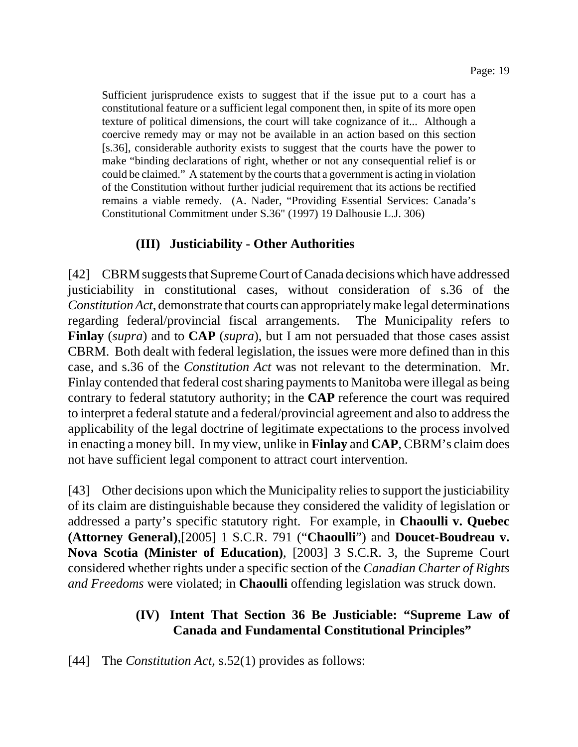Sufficient jurisprudence exists to suggest that if the issue put to a court has a constitutional feature or a sufficient legal component then, in spite of its more open texture of political dimensions, the court will take cognizance of it... Although a coercive remedy may or may not be available in an action based on this section [s.36], considerable authority exists to suggest that the courts have the power to make "binding declarations of right, whether or not any consequential relief is or could be claimed." A statement by the courts that a government is acting in violation of the Constitution without further judicial requirement that its actions be rectified remains a viable remedy. (A. Nader, "Providing Essential Services: Canada's Constitutional Commitment under S.36" (1997) 19 Dalhousie L.J. 306)

## **(III) Justiciability - Other Authorities**

[42] CBRM suggests that Supreme Court of Canada decisions which have addressed justiciability in constitutional cases, without consideration of s.36 of the *Constitution Act*, demonstrate that courts can appropriately make legal determinations regarding federal/provincial fiscal arrangements. The Municipality refers to **Finlay** (*supra*) and to **CAP** (*supra*), but I am not persuaded that those cases assist CBRM. Both dealt with federal legislation, the issues were more defined than in this case, and s.36 of the *Constitution Act* was not relevant to the determination. Mr. Finlay contended that federal cost sharing payments to Manitoba were illegal as being contrary to federal statutory authority; in the **CAP** reference the court was required to interpret a federal statute and a federal/provincial agreement and also to address the applicability of the legal doctrine of legitimate expectations to the process involved in enacting a money bill. In my view, unlike in **Finlay** and **CAP**, CBRM's claim does not have sufficient legal component to attract court intervention.

[43] Other decisions upon which the Municipality relies to support the justiciability of its claim are distinguishable because they considered the validity of legislation or addressed a party's specific statutory right. For example, in **Chaoulli v. Quebec (Attorney General)**,[2005] 1 S.C.R. 791 ("**Chaoulli**") and **Doucet-Boudreau v. Nova Scotia (Minister of Education)**, [2003] 3 S.C.R. 3, the Supreme Court considered whether rights under a specific section of the *Canadian Charter of Rights and Freedoms* were violated; in **Chaoulli** offending legislation was struck down.

## **(IV) Intent That Section 36 Be Justiciable: "Supreme Law of Canada and Fundamental Constitutional Principles"**

[44] The *Constitution Act*, s.52(1) provides as follows: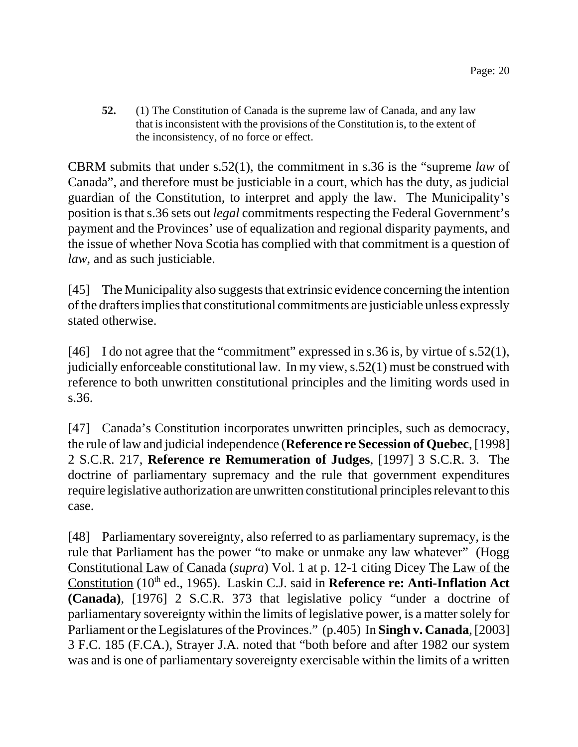**52.** (1) The Constitution of Canada is the supreme law of Canada, and any law that is inconsistent with the provisions of the Constitution is, to the extent of the inconsistency, of no force or effect.

CBRM submits that under s.52(1), the commitment in s.36 is the "supreme *law* of Canada", and therefore must be justiciable in a court, which has the duty, as judicial guardian of the Constitution, to interpret and apply the law. The Municipality's position is that s.36 sets out *legal* commitments respecting the Federal Government's payment and the Provinces' use of equalization and regional disparity payments, and the issue of whether Nova Scotia has complied with that commitment is a question of *law*, and as such justiciable.

[45] The Municipality also suggests that extrinsic evidence concerning the intention of the drafters implies that constitutional commitments are justiciable unless expressly stated otherwise.

[46] I do not agree that the "commitment" expressed in s.36 is, by virtue of s.52(1), judicially enforceable constitutional law. In my view, s.52(1) must be construed with reference to both unwritten constitutional principles and the limiting words used in s.36.

[47] Canada's Constitution incorporates unwritten principles, such as democracy, the rule of law and judicial independence (**Reference re Secession of Quebec**, [1998] 2 S.C.R. 217, **Reference re Remumeration of Judges**, [1997] 3 S.C.R. 3. The doctrine of parliamentary supremacy and the rule that government expenditures require legislative authorization are unwritten constitutional principles relevant to this case.

[48] Parliamentary sovereignty, also referred to as parliamentary supremacy, is the rule that Parliament has the power "to make or unmake any law whatever" (Hogg Constitutional Law of Canada (*supra*) Vol. 1 at p. 12-1 citing Dicey The Law of the Constitution (10<sup>th</sup> ed., 1965). Laskin C.J. said in **Reference re: Anti-Inflation Act (Canada)**, [1976] 2 S.C.R. 373 that legislative policy "under a doctrine of parliamentary sovereignty within the limits of legislative power, is a matter solely for Parliament or the Legislatures of the Provinces." (p.405) In **Singh v. Canada**, [2003] 3 F.C. 185 (F.CA.), Strayer J.A. noted that "both before and after 1982 our system was and is one of parliamentary sovereignty exercisable within the limits of a written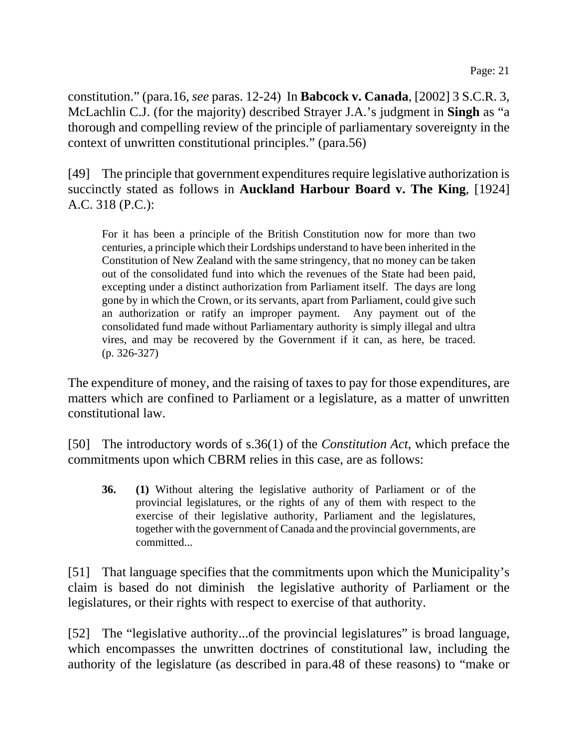constitution." (para.16, *see* paras. 12-24) In **Babcock v. Canada**, [2002] 3 S.C.R. 3, McLachlin C.J. (for the majority) described Strayer J.A.'s judgment in **Singh** as "a thorough and compelling review of the principle of parliamentary sovereignty in the context of unwritten constitutional principles." (para.56)

[49] The principle that government expenditures require legislative authorization is succinctly stated as follows in **Auckland Harbour Board v. The King**, [1924] A.C. 318 (P.C.):

For it has been a principle of the British Constitution now for more than two centuries, a principle which their Lordships understand to have been inherited in the Constitution of New Zealand with the same stringency, that no money can be taken out of the consolidated fund into which the revenues of the State had been paid, excepting under a distinct authorization from Parliament itself. The days are long gone by in which the Crown, or its servants, apart from Parliament, could give such an authorization or ratify an improper payment. Any payment out of the consolidated fund made without Parliamentary authority is simply illegal and ultra vires, and may be recovered by the Government if it can, as here, be traced. (p. 326-327)

The expenditure of money, and the raising of taxes to pay for those expenditures, are matters which are confined to Parliament or a legislature, as a matter of unwritten constitutional law.

[50] The introductory words of s.36(1) of the *Constitution Act*, which preface the commitments upon which CBRM relies in this case, are as follows:

**36. (1)** Without altering the legislative authority of Parliament or of the provincial legislatures, or the rights of any of them with respect to the exercise of their legislative authority, Parliament and the legislatures, together with the government of Canada and the provincial governments, are committed...

[51] That language specifies that the commitments upon which the Municipality's claim is based do not diminish the legislative authority of Parliament or the legislatures, or their rights with respect to exercise of that authority.

[52] The "legislative authority...of the provincial legislatures" is broad language, which encompasses the unwritten doctrines of constitutional law, including the authority of the legislature (as described in para.48 of these reasons) to "make or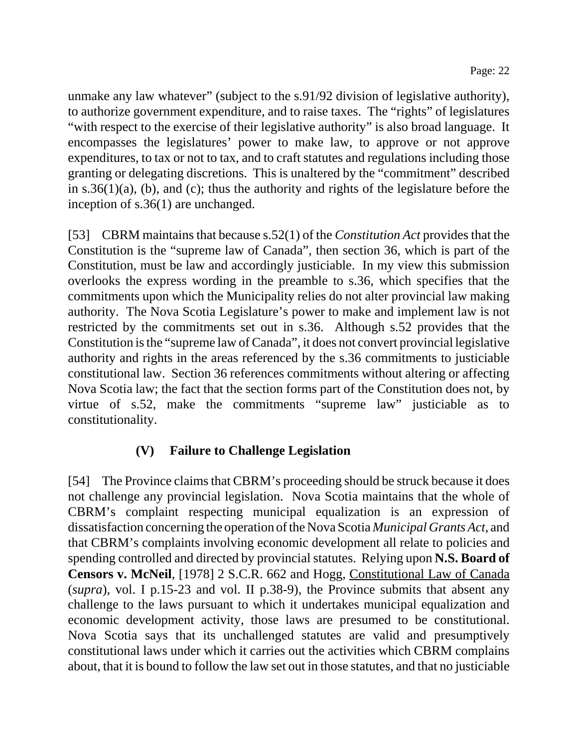unmake any law whatever" (subject to the s.91/92 division of legislative authority), to authorize government expenditure, and to raise taxes. The "rights" of legislatures "with respect to the exercise of their legislative authority" is also broad language. It encompasses the legislatures' power to make law, to approve or not approve expenditures, to tax or not to tax, and to craft statutes and regulations including those granting or delegating discretions. This is unaltered by the "commitment" described in s.36(1)(a), (b), and (c); thus the authority and rights of the legislature before the inception of s.36(1) are unchanged.

[53] CBRM maintains that because s.52(1) of the *Constitution Act* provides that the Constitution is the "supreme law of Canada", then section 36, which is part of the Constitution, must be law and accordingly justiciable. In my view this submission overlooks the express wording in the preamble to s.36, which specifies that the commitments upon which the Municipality relies do not alter provincial law making authority. The Nova Scotia Legislature's power to make and implement law is not restricted by the commitments set out in s.36. Although s.52 provides that the Constitution is the "supreme law of Canada", it does not convert provincial legislative authority and rights in the areas referenced by the s.36 commitments to justiciable constitutional law. Section 36 references commitments without altering or affecting Nova Scotia law; the fact that the section forms part of the Constitution does not, by virtue of s.52, make the commitments "supreme law" justiciable as to constitutionality.

# **(V) Failure to Challenge Legislation**

[54] The Province claims that CBRM's proceeding should be struck because it does not challenge any provincial legislation. Nova Scotia maintains that the whole of CBRM's complaint respecting municipal equalization is an expression of dissatisfaction concerning the operation of the Nova Scotia *Municipal Grants Act*, and that CBRM's complaints involving economic development all relate to policies and spending controlled and directed by provincial statutes. Relying upon **N.S. Board of Censors v. McNeil**, [1978] 2 S.C.R. 662 and Hogg, Constitutional Law of Canada (*supra*), vol. I p.15-23 and vol. II p.38-9), the Province submits that absent any challenge to the laws pursuant to which it undertakes municipal equalization and economic development activity, those laws are presumed to be constitutional. Nova Scotia says that its unchallenged statutes are valid and presumptively constitutional laws under which it carries out the activities which CBRM complains about, that it is bound to follow the law set out in those statutes, and that no justiciable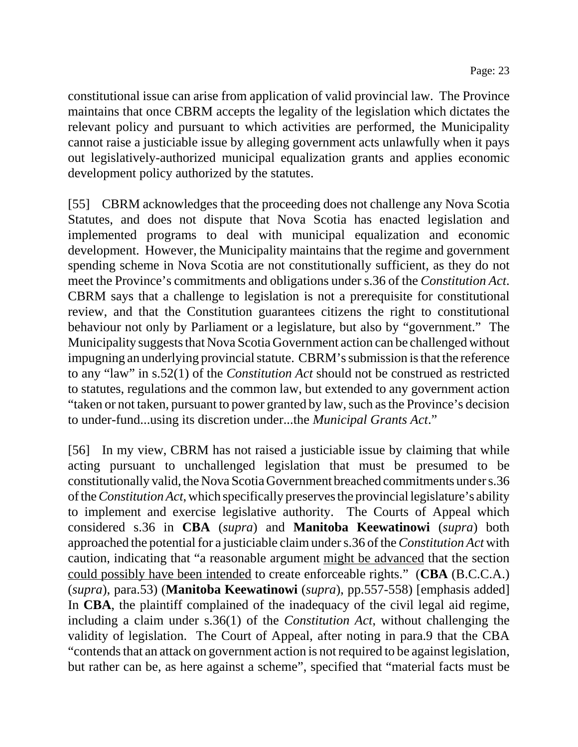constitutional issue can arise from application of valid provincial law. The Province maintains that once CBRM accepts the legality of the legislation which dictates the relevant policy and pursuant to which activities are performed, the Municipality cannot raise a justiciable issue by alleging government acts unlawfully when it pays out legislatively-authorized municipal equalization grants and applies economic development policy authorized by the statutes.

[55] CBRM acknowledges that the proceeding does not challenge any Nova Scotia Statutes, and does not dispute that Nova Scotia has enacted legislation and implemented programs to deal with municipal equalization and economic development. However, the Municipality maintains that the regime and government spending scheme in Nova Scotia are not constitutionally sufficient, as they do not meet the Province's commitments and obligations under s.36 of the *Constitution Act*. CBRM says that a challenge to legislation is not a prerequisite for constitutional review, and that the Constitution guarantees citizens the right to constitutional behaviour not only by Parliament or a legislature, but also by "government." The Municipality suggests that Nova Scotia Government action can be challenged without impugning an underlying provincial statute. CBRM's submission is that the reference to any "law" in s.52(1) of the *Constitution Act* should not be construed as restricted to statutes, regulations and the common law, but extended to any government action "taken or not taken, pursuant to power granted by law, such as the Province's decision to under-fund...using its discretion under...the *Municipal Grants Act*."

[56] In my view, CBRM has not raised a justiciable issue by claiming that while acting pursuant to unchallenged legislation that must be presumed to be constitutionally valid, the Nova Scotia Government breached commitments under s.36 of the *Constitution Act*, which specifically preserves the provincial legislature's ability to implement and exercise legislative authority. The Courts of Appeal which considered s.36 in **CBA** (*supra*) and **Manitoba Keewatinowi** (*supra*) both approached the potential for a justiciable claim under s.36 of the *Constitution Act* with caution, indicating that "a reasonable argument might be advanced that the section could possibly have been intended to create enforceable rights." (**CBA** (B.C.C.A.) (*supra*), para.53) (**Manitoba Keewatinowi** (*supra*), pp.557-558) [emphasis added] In **CBA**, the plaintiff complained of the inadequacy of the civil legal aid regime, including a claim under s.36(1) of the *Constitution Act*, without challenging the validity of legislation. The Court of Appeal, after noting in para.9 that the CBA "contends that an attack on government action is not required to be against legislation, but rather can be, as here against a scheme", specified that "material facts must be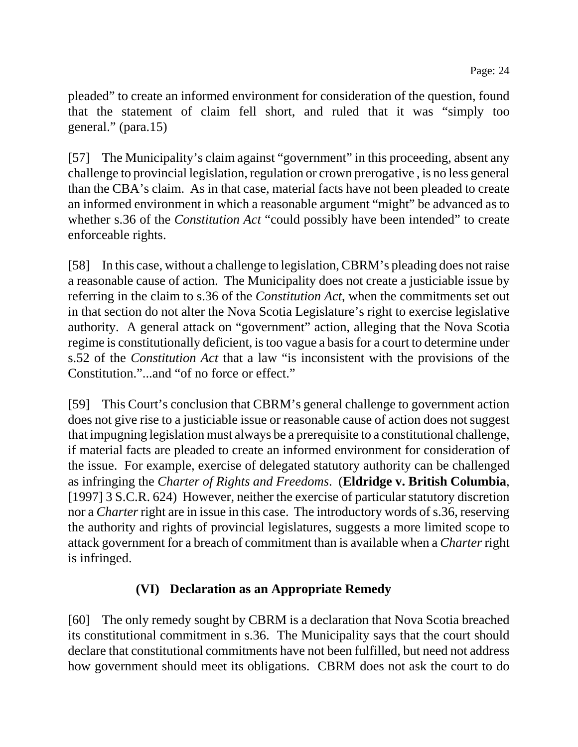pleaded" to create an informed environment for consideration of the question, found that the statement of claim fell short, and ruled that it was "simply too general." (para.15)

[57] The Municipality's claim against "government" in this proceeding, absent any challenge to provincial legislation, regulation or crown prerogative , is no less general than the CBA's claim. As in that case, material facts have not been pleaded to create an informed environment in which a reasonable argument "might" be advanced as to whether s.36 of the *Constitution Act* "could possibly have been intended" to create enforceable rights.

[58] In this case, without a challenge to legislation, CBRM's pleading does not raise a reasonable cause of action. The Municipality does not create a justiciable issue by referring in the claim to s.36 of the *Constitution Act*, when the commitments set out in that section do not alter the Nova Scotia Legislature's right to exercise legislative authority. A general attack on "government" action, alleging that the Nova Scotia regime is constitutionally deficient, is too vague a basis for a court to determine under s.52 of the *Constitution Act* that a law "is inconsistent with the provisions of the Constitution."...and "of no force or effect."

[59] This Court's conclusion that CBRM's general challenge to government action does not give rise to a justiciable issue or reasonable cause of action does not suggest that impugning legislation must always be a prerequisite to a constitutional challenge, if material facts are pleaded to create an informed environment for consideration of the issue. For example, exercise of delegated statutory authority can be challenged as infringing the *Charter of Rights and Freedoms*. (**Eldridge v. British Columbia**, [1997] 3 S.C.R. 624) However, neither the exercise of particular statutory discretion nor a *Charter* right are in issue in this case. The introductory words of s.36, reserving the authority and rights of provincial legislatures, suggests a more limited scope to attack government for a breach of commitment than is available when a *Charter* right is infringed.

## **(VI) Declaration as an Appropriate Remedy**

[60] The only remedy sought by CBRM is a declaration that Nova Scotia breached its constitutional commitment in s.36. The Municipality says that the court should declare that constitutional commitments have not been fulfilled, but need not address how government should meet its obligations. CBRM does not ask the court to do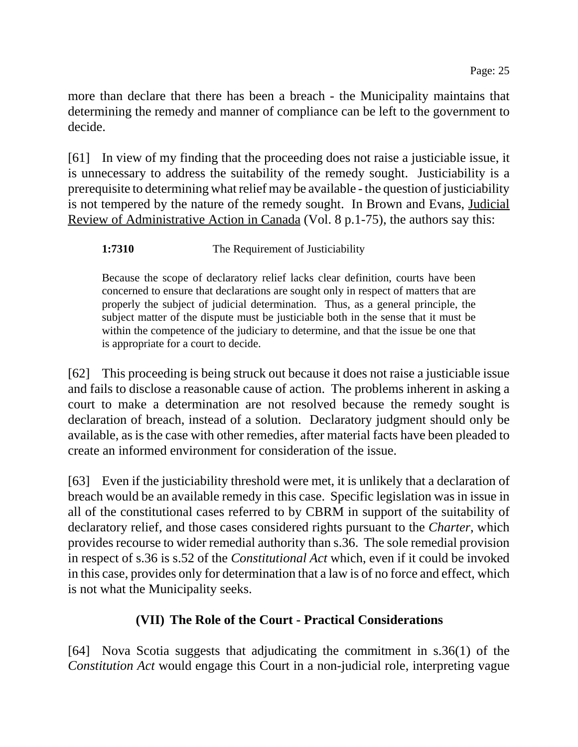more than declare that there has been a breach - the Municipality maintains that determining the remedy and manner of compliance can be left to the government to decide.

[61] In view of my finding that the proceeding does not raise a justiciable issue, it is unnecessary to address the suitability of the remedy sought. Justiciability is a prerequisite to determining what relief may be available - the question of justiciability is not tempered by the nature of the remedy sought. In Brown and Evans, Judicial Review of Administrative Action in Canada (Vol. 8 p.1-75), the authors say this:

#### **1:7310** The Requirement of Justiciability

Because the scope of declaratory relief lacks clear definition, courts have been concerned to ensure that declarations are sought only in respect of matters that are properly the subject of judicial determination. Thus, as a general principle, the subject matter of the dispute must be justiciable both in the sense that it must be within the competence of the judiciary to determine, and that the issue be one that is appropriate for a court to decide.

[62] This proceeding is being struck out because it does not raise a justiciable issue and fails to disclose a reasonable cause of action. The problems inherent in asking a court to make a determination are not resolved because the remedy sought is declaration of breach, instead of a solution. Declaratory judgment should only be available, as is the case with other remedies, after material facts have been pleaded to create an informed environment for consideration of the issue.

[63] Even if the justiciability threshold were met, it is unlikely that a declaration of breach would be an available remedy in this case. Specific legislation was in issue in all of the constitutional cases referred to by CBRM in support of the suitability of declaratory relief, and those cases considered rights pursuant to the *Charter*, which provides recourse to wider remedial authority than s.36. The sole remedial provision in respect of s.36 is s.52 of the *Constitutional Act* which, even if it could be invoked in this case, provides only for determination that a law is of no force and effect, which is not what the Municipality seeks.

## **(VII) The Role of the Court - Practical Considerations**

[64] Nova Scotia suggests that adjudicating the commitment in s.36(1) of the *Constitution Act* would engage this Court in a non-judicial role, interpreting vague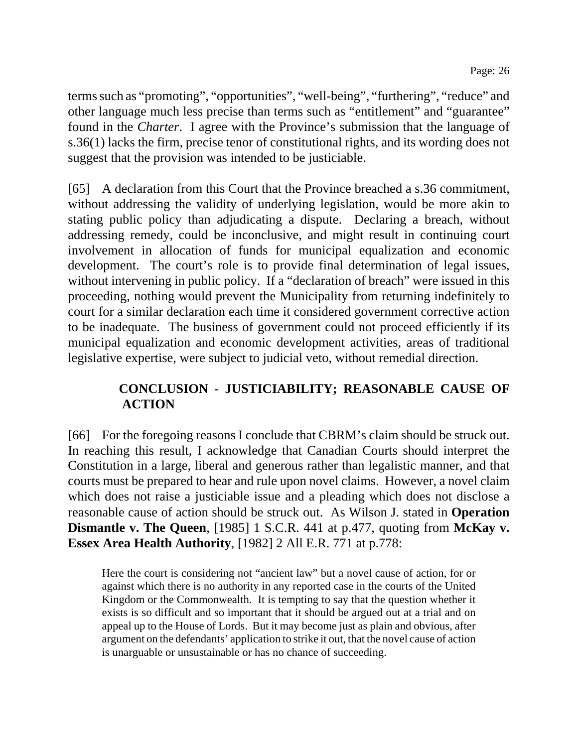terms such as "promoting", "opportunities", "well-being", "furthering", "reduce" and other language much less precise than terms such as "entitlement" and "guarantee" found in the *Charter*. I agree with the Province's submission that the language of s.36(1) lacks the firm, precise tenor of constitutional rights, and its wording does not suggest that the provision was intended to be justiciable.

[65] A declaration from this Court that the Province breached a s.36 commitment, without addressing the validity of underlying legislation, would be more akin to stating public policy than adjudicating a dispute. Declaring a breach, without addressing remedy, could be inconclusive, and might result in continuing court involvement in allocation of funds for municipal equalization and economic development. The court's role is to provide final determination of legal issues, without intervening in public policy. If a "declaration of breach" were issued in this proceeding, nothing would prevent the Municipality from returning indefinitely to court for a similar declaration each time it considered government corrective action to be inadequate. The business of government could not proceed efficiently if its municipal equalization and economic development activities, areas of traditional legislative expertise, were subject to judicial veto, without remedial direction.

# **CONCLUSION - JUSTICIABILITY; REASONABLE CAUSE OF ACTION**

[66] For the foregoing reasons I conclude that CBRM's claim should be struck out. In reaching this result, I acknowledge that Canadian Courts should interpret the Constitution in a large, liberal and generous rather than legalistic manner, and that courts must be prepared to hear and rule upon novel claims. However, a novel claim which does not raise a justiciable issue and a pleading which does not disclose a reasonable cause of action should be struck out. As Wilson J. stated in **Operation Dismantle v. The Queen**, [1985] 1 S.C.R. 441 at p.477, quoting from **McKay v. Essex Area Health Authority**, [1982] 2 All E.R. 771 at p.778:

Here the court is considering not "ancient law" but a novel cause of action, for or against which there is no authority in any reported case in the courts of the United Kingdom or the Commonwealth. It is tempting to say that the question whether it exists is so difficult and so important that it should be argued out at a trial and on appeal up to the House of Lords. But it may become just as plain and obvious, after argument on the defendants' application to strike it out, that the novel cause of action is unarguable or unsustainable or has no chance of succeeding.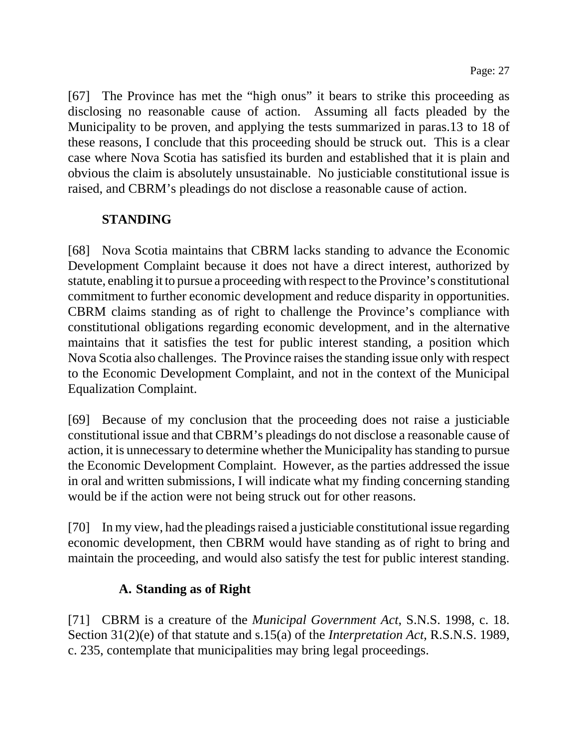[67] The Province has met the "high onus" it bears to strike this proceeding as disclosing no reasonable cause of action. Assuming all facts pleaded by the Municipality to be proven, and applying the tests summarized in paras.13 to 18 of these reasons, I conclude that this proceeding should be struck out. This is a clear case where Nova Scotia has satisfied its burden and established that it is plain and obvious the claim is absolutely unsustainable. No justiciable constitutional issue is raised, and CBRM's pleadings do not disclose a reasonable cause of action.

## **STANDING**

[68] Nova Scotia maintains that CBRM lacks standing to advance the Economic Development Complaint because it does not have a direct interest, authorized by statute, enabling it to pursue a proceeding with respect to the Province's constitutional commitment to further economic development and reduce disparity in opportunities. CBRM claims standing as of right to challenge the Province's compliance with constitutional obligations regarding economic development, and in the alternative maintains that it satisfies the test for public interest standing, a position which Nova Scotia also challenges. The Province raises the standing issue only with respect to the Economic Development Complaint, and not in the context of the Municipal Equalization Complaint.

[69] Because of my conclusion that the proceeding does not raise a justiciable constitutional issue and that CBRM's pleadings do not disclose a reasonable cause of action, it is unnecessary to determine whether the Municipality has standing to pursue the Economic Development Complaint. However, as the parties addressed the issue in oral and written submissions, I will indicate what my finding concerning standing would be if the action were not being struck out for other reasons.

[70] In my view, had the pleadings raised a justiciable constitutional issue regarding economic development, then CBRM would have standing as of right to bring and maintain the proceeding, and would also satisfy the test for public interest standing.

# **A. Standing as of Right**

[71] CBRM is a creature of the *Municipal Government Act*, S.N.S. 1998, c. 18. Section 31(2)(e) of that statute and s.15(a) of the *Interpretation Act*, R.S.N.S. 1989, c. 235, contemplate that municipalities may bring legal proceedings.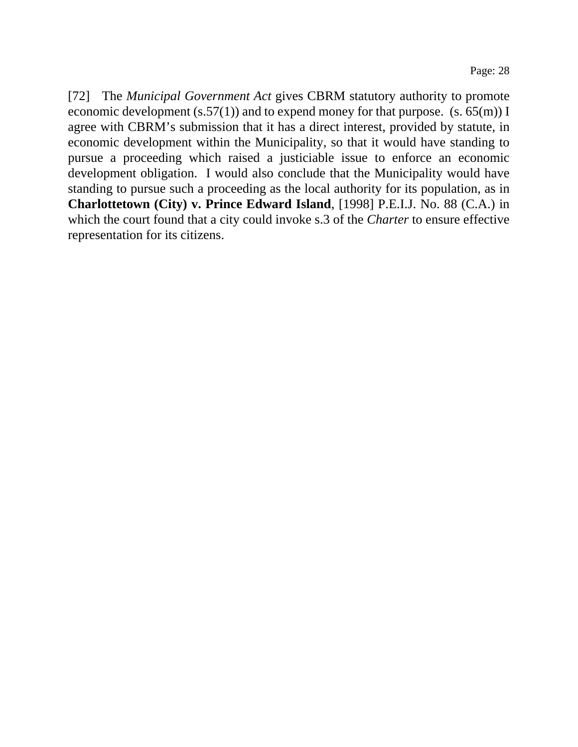[72] The *Municipal Government Act* gives CBRM statutory authority to promote economic development  $(s.57(1))$  and to expend money for that purpose.  $(s. 65(m))$  I agree with CBRM's submission that it has a direct interest, provided by statute, in economic development within the Municipality, so that it would have standing to pursue a proceeding which raised a justiciable issue to enforce an economic development obligation. I would also conclude that the Municipality would have standing to pursue such a proceeding as the local authority for its population, as in **Charlottetown (City) v. Prince Edward Island**, [1998] P.E.I.J. No. 88 (C.A.) in which the court found that a city could invoke s.3 of the *Charter* to ensure effective representation for its citizens.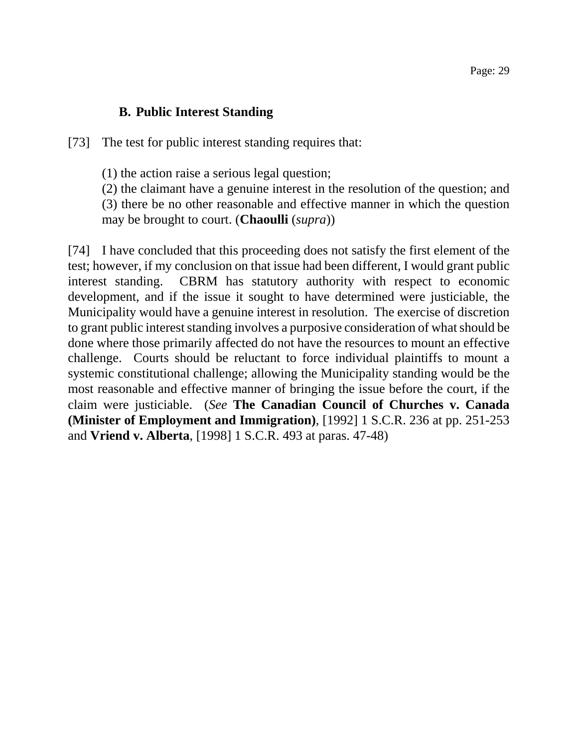#### **B. Public Interest Standing**

[73] The test for public interest standing requires that:

(1) the action raise a serious legal question;

(2) the claimant have a genuine interest in the resolution of the question; and (3) there be no other reasonable and effective manner in which the question may be brought to court. (**Chaoulli** (*supra*))

[74] I have concluded that this proceeding does not satisfy the first element of the test; however, if my conclusion on that issue had been different, I would grant public interest standing. CBRM has statutory authority with respect to economic development, and if the issue it sought to have determined were justiciable, the Municipality would have a genuine interest in resolution. The exercise of discretion to grant public interest standing involves a purposive consideration of what should be done where those primarily affected do not have the resources to mount an effective challenge. Courts should be reluctant to force individual plaintiffs to mount a systemic constitutional challenge; allowing the Municipality standing would be the most reasonable and effective manner of bringing the issue before the court, if the claim were justiciable. (*See* **The Canadian Council of Churches v. Canada (Minister of Employment and Immigration)**, [1992] 1 S.C.R. 236 at pp. 251-253 and **Vriend v. Alberta**, [1998] 1 S.C.R. 493 at paras. 47-48)